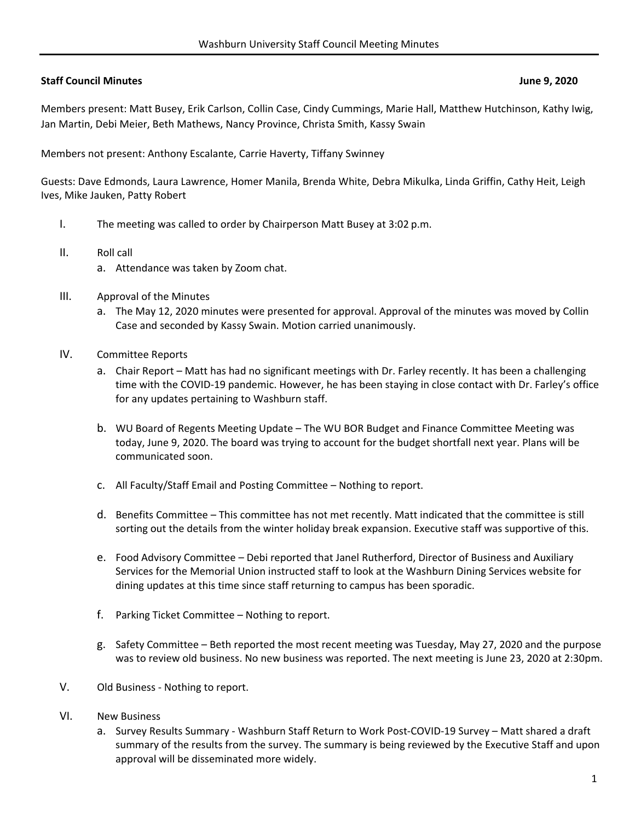## **Staff Council Minutes June 9, 2020**

Members present: Matt Busey, Erik Carlson, Collin Case, Cindy Cummings, Marie Hall, Matthew Hutchinson, Kathy Iwig, Jan Martin, Debi Meier, Beth Mathews, Nancy Province, Christa Smith, Kassy Swain

Members not present: Anthony Escalante, Carrie Haverty, Tiffany Swinney

Guests: Dave Edmonds, Laura Lawrence, Homer Manila, Brenda White, Debra Mikulka, Linda Griffin, Cathy Heit, Leigh Ives, Mike Jauken, Patty Robert

- I. The meeting was called to order by Chairperson Matt Busey at 3:02 p.m.
- II. Roll call
	- a. Attendance was taken by Zoom chat.
- III. Approval of the Minutes
	- a. The May 12, 2020 minutes were presented for approval. Approval of the minutes was moved by Collin Case and seconded by Kassy Swain. Motion carried unanimously.
- IV. Committee Reports
	- a. Chair Report Matt has had no significant meetings with Dr. Farley recently. It has been a challenging time with the COVID‐19 pandemic. However, he has been staying in close contact with Dr. Farley's office for any updates pertaining to Washburn staff.
	- b. WU Board of Regents Meeting Update The WU BOR Budget and Finance Committee Meeting was today, June 9, 2020. The board was trying to account for the budget shortfall next year. Plans will be communicated soon.
	- c. All Faculty/Staff Email and Posting Committee Nothing to report.
	- d. Benefits Committee This committee has not met recently. Matt indicated that the committee is still sorting out the details from the winter holiday break expansion. Executive staff was supportive of this.
	- e. Food Advisory Committee Debi reported that Janel Rutherford, Director of Business and Auxiliary Services for the Memorial Union instructed staff to look at the Washburn Dining Services website for dining updates at this time since staff returning to campus has been sporadic.
	- f. Parking Ticket Committee Nothing to report.
	- g. Safety Committee Beth reported the most recent meeting was Tuesday, May 27, 2020 and the purpose was to review old business. No new business was reported. The next meeting is June 23, 2020 at 2:30pm.
- V. Old Business ‐ Nothing to report.
- VI. New Business
	- a. Survey Results Summary ‐ Washburn Staff Return to Work Post‐COVID‐19 Survey Matt shared a draft summary of the results from the survey. The summary is being reviewed by the Executive Staff and upon approval will be disseminated more widely.